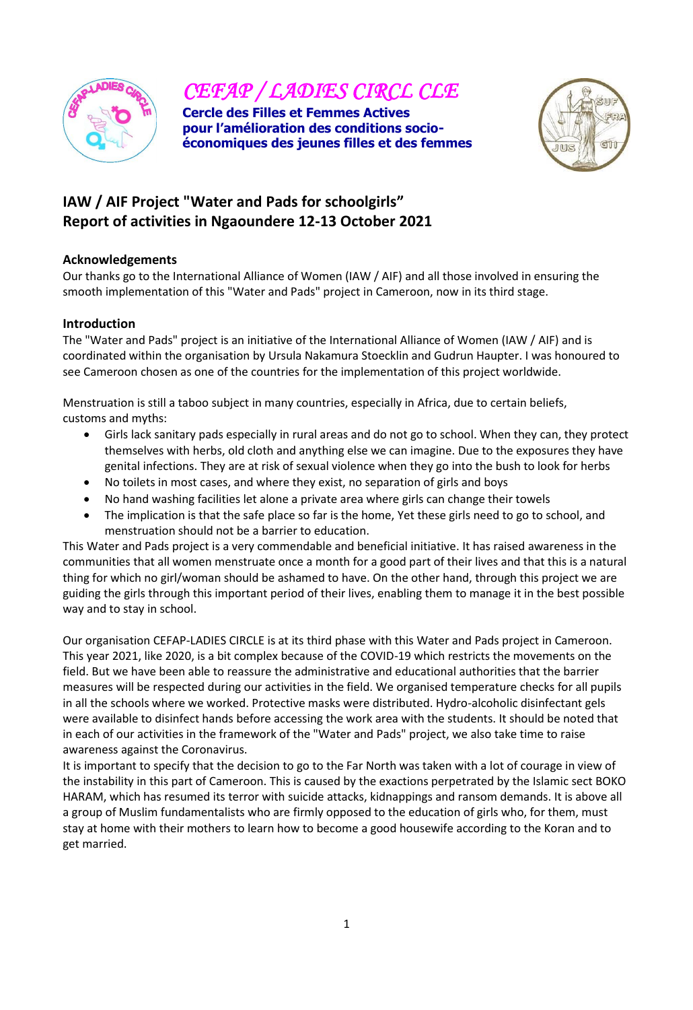

*CEFAP / LADIES CIRCL CLE* 

**Cercle des Filles et Femmes Actives pour l'amélioration des conditions socioéconomiques des jeunes filles et des femmes** 



# **IAW / AIF Project "Water and Pads for schoolgirls" Report of activities in Ngaoundere 12-13 October 2021**

## **Acknowledgements**

Our thanks go to the International Alliance of Women (IAW / AIF) and all those involved in ensuring the smooth implementation of this "Water and Pads" project in Cameroon, now in its third stage.

## **Introduction**

The "Water and Pads" project is an initiative of the International Alliance of Women (IAW / AIF) and is coordinated within the organisation by Ursula Nakamura Stoecklin and Gudrun Haupter. I was honoured to see Cameroon chosen as one of the countries for the implementation of this project worldwide.

Menstruation is still a taboo subject in many countries, especially in Africa, due to certain beliefs, customs and myths:

- Girls lack sanitary pads especially in rural areas and do not go to school. When they can, they protect themselves with herbs, old cloth and anything else we can imagine. Due to the exposures they have genital infections. They are at risk of sexual violence when they go into the bush to look for herbs
- No toilets in most cases, and where they exist, no separation of girls and boys
- No hand washing facilities let alone a private area where girls can change their towels
- The implication is that the safe place so far is the home, Yet these girls need to go to school, and menstruation should not be a barrier to education.

This Water and Pads project is a very commendable and beneficial initiative. It has raised awareness in the communities that all women menstruate once a month for a good part of their lives and that this is a natural thing for which no girl/woman should be ashamed to have. On the other hand, through this project we are guiding the girls through this important period of their lives, enabling them to manage it in the best possible way and to stay in school.

Our organisation CEFAP-LADIES CIRCLE is at its third phase with this Water and Pads project in Cameroon. This year 2021, like 2020, is a bit complex because of the COVID-19 which restricts the movements on the field. But we have been able to reassure the administrative and educational authorities that the barrier measures will be respected during our activities in the field. We organised temperature checks for all pupils in all the schools where we worked. Protective masks were distributed. Hydro-alcoholic disinfectant gels were available to disinfect hands before accessing the work area with the students. It should be noted that in each of our activities in the framework of the "Water and Pads" project, we also take time to raise awareness against the Coronavirus.

It is important to specify that the decision to go to the Far North was taken with a lot of courage in view of the instability in this part of Cameroon. This is caused by the exactions perpetrated by the Islamic sect BOKO HARAM, which has resumed its terror with suicide attacks, kidnappings and ransom demands. It is above all a group of Muslim fundamentalists who are firmly opposed to the education of girls who, for them, must stay at home with their mothers to learn how to become a good housewife according to the Koran and to get married.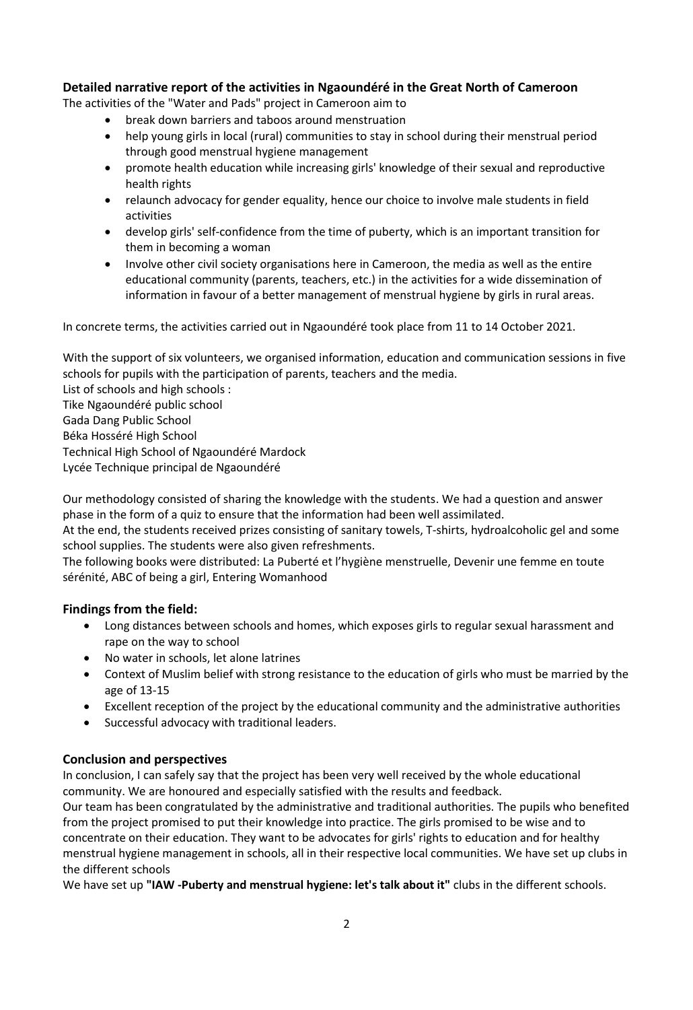## **Detailed narrative report of the activities in Ngaoundéré in the Great North of Cameroon**

The activities of the "Water and Pads" project in Cameroon aim to

- break down barriers and taboos around menstruation
- help young girls in local (rural) communities to stay in school during their menstrual period through good menstrual hygiene management
- promote health education while increasing girls' knowledge of their sexual and reproductive health rights
- relaunch advocacy for gender equality, hence our choice to involve male students in field activities
- develop girls' self-confidence from the time of puberty, which is an important transition for them in becoming a woman
- Involve other civil society organisations here in Cameroon, the media as well as the entire educational community (parents, teachers, etc.) in the activities for a wide dissemination of information in favour of a better management of menstrual hygiene by girls in rural areas.

In concrete terms, the activities carried out in Ngaoundéré took place from 11 to 14 October 2021.

With the support of six volunteers, we organised information, education and communication sessions in five schools for pupils with the participation of parents, teachers and the media.

List of schools and high schools : Tike Ngaoundéré public school Gada Dang Public School Béka Hosséré High School Technical High School of Ngaoundéré Mardock Lycée Technique principal de Ngaoundéré

Our methodology consisted of sharing the knowledge with the students. We had a question and answer phase in the form of a quiz to ensure that the information had been well assimilated.

At the end, the students received prizes consisting of sanitary towels, T-shirts, hydroalcoholic gel and some school supplies. The students were also given refreshments.

The following books were distributed: La Puberté et l'hygiène menstruelle, Devenir une femme en toute sérénité, ABC of being a girl, Entering Womanhood

# **Findings from the field:**

- Long distances between schools and homes, which exposes girls to regular sexual harassment and rape on the way to school
- No water in schools, let alone latrines
- Context of Muslim belief with strong resistance to the education of girls who must be married by the age of 13-15
- Excellent reception of the project by the educational community and the administrative authorities
- Successful advocacy with traditional leaders.

#### **Conclusion and perspectives**

In conclusion, I can safely say that the project has been very well received by the whole educational community. We are honoured and especially satisfied with the results and feedback.

Our team has been congratulated by the administrative and traditional authorities. The pupils who benefited from the project promised to put their knowledge into practice. The girls promised to be wise and to concentrate on their education. They want to be advocates for girls' rights to education and for healthy menstrual hygiene management in schools, all in their respective local communities. We have set up clubs in the different schools

We have set up **"IAW -Puberty and menstrual hygiene: let's talk about it"** clubs in the different schools.